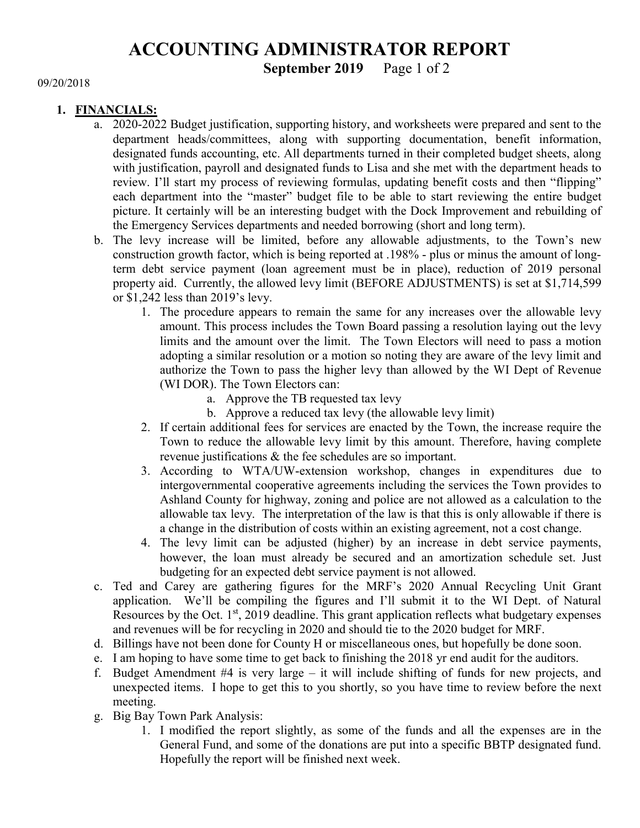# ACCOUNTING ADMINISTRATOR REPORT

### September 2019 Page 1 of 2

#### 09/20/2018

#### 1. FINANCIALS:

- a. 2020-2022 Budget justification, supporting history, and worksheets were prepared and sent to the department heads/committees, along with supporting documentation, benefit information, designated funds accounting, etc. All departments turned in their completed budget sheets, along with justification, payroll and designated funds to Lisa and she met with the department heads to review. I'll start my process of reviewing formulas, updating benefit costs and then "flipping" each department into the "master" budget file to be able to start reviewing the entire budget picture. It certainly will be an interesting budget with the Dock Improvement and rebuilding of the Emergency Services departments and needed borrowing (short and long term).
- b. The levy increase will be limited, before any allowable adjustments, to the Town's new construction growth factor, which is being reported at .198% - plus or minus the amount of longterm debt service payment (loan agreement must be in place), reduction of 2019 personal property aid. Currently, the allowed levy limit (BEFORE ADJUSTMENTS) is set at \$1,714,599 or \$1,242 less than 2019's levy.
	- 1. The procedure appears to remain the same for any increases over the allowable levy amount. This process includes the Town Board passing a resolution laying out the levy limits and the amount over the limit. The Town Electors will need to pass a motion adopting a similar resolution or a motion so noting they are aware of the levy limit and authorize the Town to pass the higher levy than allowed by the WI Dept of Revenue (WI DOR). The Town Electors can:
		- a. Approve the TB requested tax levy
		- b. Approve a reduced tax levy (the allowable levy limit)
	- 2. If certain additional fees for services are enacted by the Town, the increase require the Town to reduce the allowable levy limit by this amount. Therefore, having complete revenue justifications & the fee schedules are so important.
	- 3. According to WTA/UW-extension workshop, changes in expenditures due to intergovernmental cooperative agreements including the services the Town provides to Ashland County for highway, zoning and police are not allowed as a calculation to the allowable tax levy. The interpretation of the law is that this is only allowable if there is a change in the distribution of costs within an existing agreement, not a cost change.
	- 4. The levy limit can be adjusted (higher) by an increase in debt service payments, however, the loan must already be secured and an amortization schedule set. Just budgeting for an expected debt service payment is not allowed.
- c. Ted and Carey are gathering figures for the MRF's 2020 Annual Recycling Unit Grant application. We'll be compiling the figures and I'll submit it to the WI Dept. of Natural Resources by the Oct.  $1<sup>st</sup>$ , 2019 deadline. This grant application reflects what budgetary expenses and revenues will be for recycling in 2020 and should tie to the 2020 budget for MRF.
- d. Billings have not been done for County H or miscellaneous ones, but hopefully be done soon.
- e. I am hoping to have some time to get back to finishing the 2018 yr end audit for the auditors.
- f. Budget Amendment #4 is very large it will include shifting of funds for new projects, and unexpected items. I hope to get this to you shortly, so you have time to review before the next meeting.
- g. Big Bay Town Park Analysis:
	- 1. I modified the report slightly, as some of the funds and all the expenses are in the General Fund, and some of the donations are put into a specific BBTP designated fund. Hopefully the report will be finished next week.